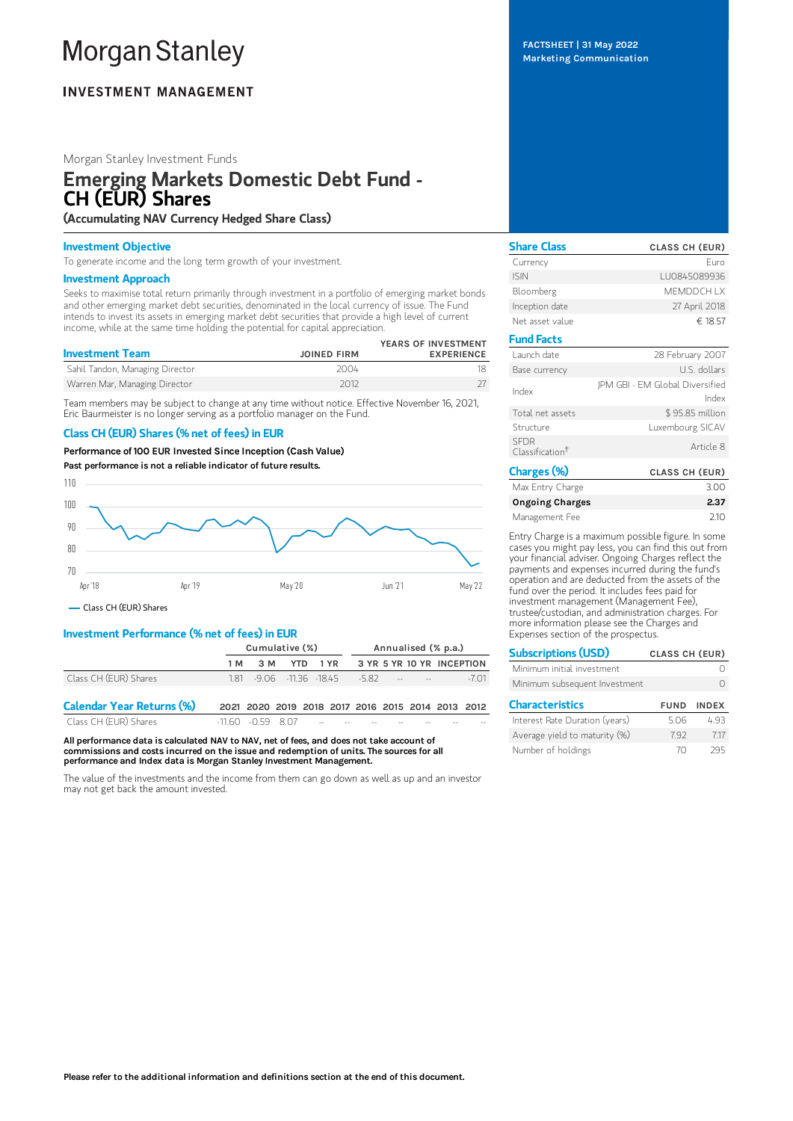# **Morgan Stanley**

# **INVESTMENT MANAGEMENT**

# Morgan Stanley Investment Funds

# Emerging Markets Domestic Debt Fund - CH (EUR) Shares

(Accumulating NAV Currency Hedged Share Class)

# Investment Objective

To generate income and the long term growth of your investment.

## Investment Approach

Seeks to maximise total return primarily through investment in a portfolio of emerging market bonds and other emerging market debt securities, denominated in the local currency of issue. The Fund intends to invest its assets in emerging market debt securities that provide a high level of current income, while at the same time holding the potential for capital appreciation.

| <b>Investment Team</b>          | <b>JOINED FIRM</b> | YEARS OF INVESTMENT<br><b>EXPERIENCE</b> |
|---------------------------------|--------------------|------------------------------------------|
| Sahil Tandon, Managing Director | 2004               |                                          |
| Warren Mar, Managing Director   | 2012               |                                          |

Team members may be subject to change at any time without notice. Effective November 16, 2021, Eric Baurmeister is no longer serving as a portfolio manager on the Fund.

# Class CH (EUR) Shares (% net of fees) in EUR

Performance of 100 EUR Invested Since Inception (Cash Value)

Past performance is not a reliable indicator of future results.



Class CH (EUR) Shares

# Investment Performance (% net of fees) in EUR

|                                  | Cumulative (%) |  |  | Annualised (% p.a.)                               |  |                            |  |        |
|----------------------------------|----------------|--|--|---------------------------------------------------|--|----------------------------|--|--------|
|                                  |                |  |  | 1M 3M YTD 1YR 3YR 5YR 10YR INCEPTION              |  |                            |  |        |
| Class CH (EUR) Shares            |                |  |  | 1.81 - 9.06 - 11.36 - 18.45 - 5.82                |  | the company of the company |  | $-701$ |
| <b>Calendar Year Returns (%)</b> |                |  |  | 2021 2020 2019 2018 2017 2016 2015 2014 2013 2012 |  |                            |  |        |

Class CH (EUR) Shares -11.60 -0.59 8.07

All performance data is calculated NAV to NAV, net of fees, and does not take account of commissions and costs incurred on the issue and redemption of units. The sources for all performance and Index data is Morgan Stanley Investment Management.

The value of the investments and the income from them can go down as well as up and an investor may not get back the amount invested.

| <b>Share Class</b>                         | <b>CLASS CH (EUR)</b>                    |
|--------------------------------------------|------------------------------------------|
| Currency                                   | Furo                                     |
| <b>ISIN</b>                                | LU0845089936                             |
| Bloomberg                                  | <b>MEMDDCHIX</b>                         |
| Inception date                             | 27 April 2018                            |
| Net asset value                            | € 18.57                                  |
| <b>Fund Facts</b>                          |                                          |
| Launch date                                | 28 February 2007                         |
| Base currency                              | U.S. dollars                             |
| Index                                      | IPM GBI - EM Global Diversified<br>Index |
| Total net assets                           | \$95.85 million                          |
| Structure                                  | Luxembourg SICAV                         |
| <b>SFDR</b><br>Classification <sup>†</sup> | Article 8                                |
| Charges (%)                                | <b>CLASS CH (EUR)</b>                    |

| Max Entry Charge       | 3.00 |
|------------------------|------|
| <b>Ongoing Charges</b> | 2.37 |
| Management Fee         | 210  |

Entry Charge is a maximum possible figure. In some cases you might pay less, you can find this out from your financial adviser. Ongoing Charges reflect the payments and expenses incurred during the fund's operation and are deducted from the assets of the fund over the period. It includes fees paid for investment management (Management Fee), trustee/custodian, and administration charges. For more information please see the Charges and Expenses section of the prospectus.

| <b>Subscriptions (USD)</b>     | <b>CLASS CH (EUR)</b> |              |
|--------------------------------|-----------------------|--------------|
| Minimum initial investment     |                       |              |
| Minimum subsequent Investment  |                       |              |
|                                |                       |              |
| <b>Characteristics</b>         | <b>FUND</b>           | <b>INDEX</b> |
| Interest Rate Duration (years) | 506                   | 493          |
| Average yield to maturity (%)  | 792                   | 717          |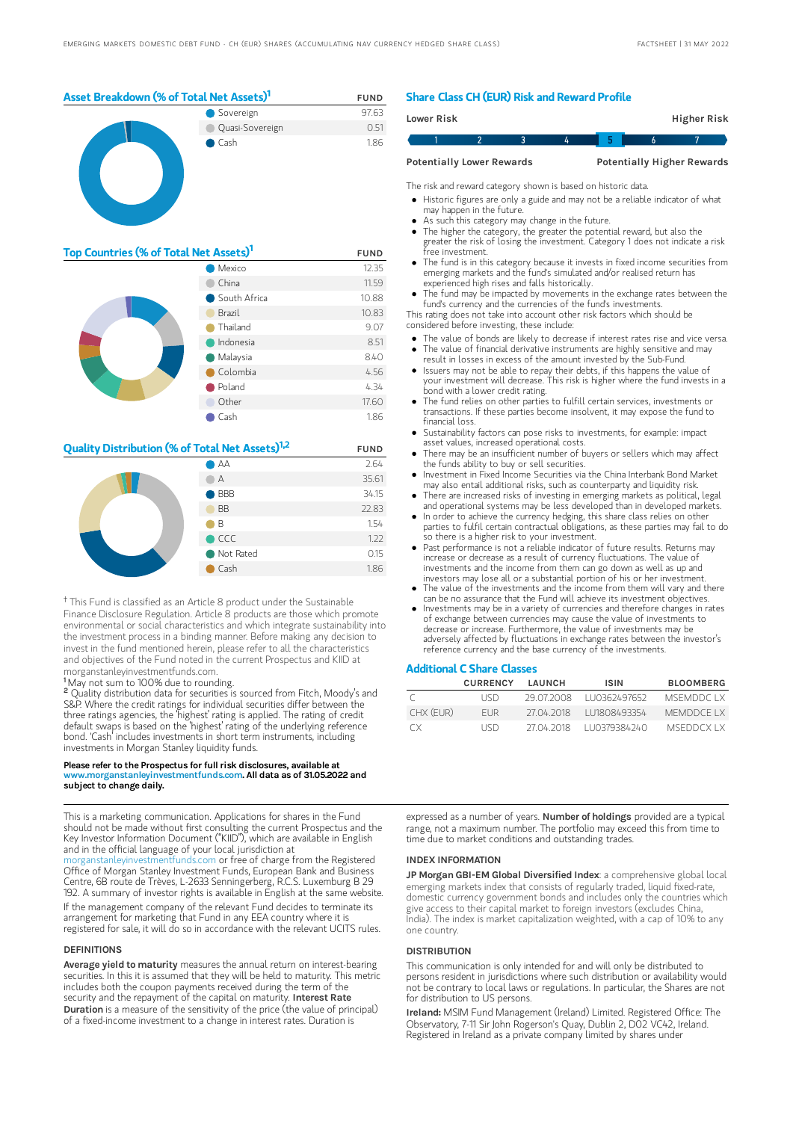

| Top Countries (% of Total Net Assets) <sup>1</sup> | <b>FUND</b>  |       |
|----------------------------------------------------|--------------|-------|
|                                                    | Mexico       | 12.35 |
|                                                    | China        | 11.59 |
|                                                    | South Africa | 10.88 |
|                                                    | Brazil       | 10.83 |
|                                                    | Thailand     | 9.07  |
|                                                    | Indonesia    | 8.51  |
|                                                    | Malaysia     | 8.40  |
|                                                    | Colombia     | 4.56  |
|                                                    | Poland       | 4.34  |
|                                                    | Other        | 17.60 |
|                                                    | Cash         | 1.86  |

## **Quality Distribution (% of Total Net Assets)**<sup>1,2</sup> FUND



<sup>†</sup> This Fund is classified as an Article 8 product under the Sustainable Finance Disclosure Regulation. Article 8 products are those which promote environmental or social characteristics and which integrate sustainability into the investment process in a binding manner. Before making any decision to invest in the fund mentioned herein, please refer to all the characteristics and objectives of the Fund noted in the current Prospectus and KIID at morganstanleyinvestmentfunds.com.

May not sum to 100% due to rounding. 1

Quality distribution data for securities is sourced from Fitch, Moody's and S&P. Where the credit ratings for individual securities differ between the three ratings agencies, the 'highest' rating is applied. The rating of credit default swaps is based on the 'highest' rating of the underlying reference bond. 'Cash' includes investments in short term instruments, including investments in Morgan Stanley liquidity funds. 2

#### Please refer to the Prospectus for full risk disclosures, available at www.morganstanleyinvestmentfunds.com. All data as of 31.05.2022 and subject to change daily.

This is a marketing communication. Applications for shares in the Fund should not be made without first consulting the current Prospectus and the Key Investor Information Document ("KIID"), which are available in English and in the official language of your local jurisdiction at

[morganstanleyinvestmentfunds.com](https://www.morganstanley.com/im/msinvf/index.html) or free of charge from the Registered Office of Morgan Stanley Investment Funds, European Bank and Business Centre, 6B route de Trèves, L-2633 Senningerberg, R.C.S. Luxemburg B 29 192. A summary of investor rights is available in English at the same website. If the management company of the relevant Fund decides to terminate its arrangement for marketing that Fund in any EEA country where it is registered for sale, it will do so in accordance with the relevant UCITS rules.

#### DEFINITIONS

Average yield to maturity measures the annual return on interest-bearing securities. In this it is assumed that they will be held to maturity. This metric includes both the coupon payments received during the term of the security and the repayment of the capital on maturity. Interest Rate Duration is a measure of the sensitivity of the price (the value of principal) of a fixed-income investment to a change in interest rates. Duration is

### Share Class CH (EUR) Risk and Reward Profile

|                                  | Lower Risk |  |  |  |                                   | Higher Risk |  |
|----------------------------------|------------|--|--|--|-----------------------------------|-------------|--|
|                                  |            |  |  |  |                                   |             |  |
| <b>Potentially Lower Rewards</b> |            |  |  |  | <b>Potentially Higher Rewards</b> |             |  |

The risk and reward category shown is based on historic data.

- Historic figures are only a guide and may not be a reliable indicator of what may happen in the future.
- As such this category may change in the future.
- The higher the category, the greater the potential reward, but also the greater the risk of losing the investment. Category 1 does not indicate a risk free investment.
- The fund is in this category because it invests in fixed income securities from emerging markets and the fund's simulated and/or realised return has experienced high rises and falls historically.
- The fund may be impacted by movements in the exchange rates between the fund's currency and the currencies of the fund's investments.

This rating does not take into account other risk factors which should be considered before investing, these include:

- The value of bonds are likely to decrease if interest rates rise and vice versa.
- The value of financial derivative instruments are highly sensitive and may result in losses in excess of the amount invested by the Sub-Fund. Issuers may not be able to repay their debts, if this happens the value of
- your investment will decrease. This risk is higher where the fund invests in a bond with a lower credit rating.
- The fund relies on other parties to fulfill certain services, investments or transactions. If these parties become insolvent, it may expose the fund to financial loss.
- Sustainability factors can pose risks to investments, for example: impact asset values, increased operational costs.
- There may be an insufficient number of buyers or sellers which may affect the funds ability to buy or sell securities.
- Investment in Fixed Income Securities via the China Interbank Bond Market may also entail additional risks, such as counterparty and liquidity risk.  $\bullet$
- There are increased risks of investing in emerging markets as political, legal and operational systems may be less developed than in developed markets. In order to achieve the currency hedging, this share class relies on other
- parties to fulfil certain contractual obligations, as these parties may fail to do so there is a higher risk to your investment.
- Past performance is not a reliable indicator of future results. Returns may increase or decrease as a result of currency fluctuations. The value of investments and the income from them can go down as well as up and investors may lose all or a substantial portion of his or her investment.
- The value of the investments and the income from them will vary and there can be no assurance that the Fund will achieve its investment objectives.
- Investments may be in a variety of currencies and therefore changes in rates of exchange between currencies may cause the value of investments to decrease or increase. Furthermore, the value of investments may be adversely affected by fluctuations in exchange rates between the investor's reference currency and the base currency of the investments.

#### Additional C Share Classes

|           | <b>CURRENCY</b> | LAUNCH     | <b>ISIN</b>               | <b>BLOOMBERG</b> |
|-----------|-----------------|------------|---------------------------|------------------|
|           | LISD.           |            | 29 07 2008   LIO362497652 | MSEMDDC LX       |
| CHX (EUR) | FUR.            | 27 04 2018 | 111808493354              | MEMDDCE I X      |
| CX.       | LISD.           | 27 04 2018 | 1110379384240             | <b>MSEDDCXIX</b> |

expressed as a number of years. Number of holdings provided are a typical range, not a maximum number. The portfolio may exceed this from time to time due to market conditions and outstanding trades.

#### INDEX INFORMATION

JP Morgan GBI-EM Global Diversified Index: a comprehensive global local emerging markets index that consists of regularly traded, liquid fixed-rate, domestic currency government bonds and includes only the countries which give access to their capital market to foreign investors (excludes China, India). The index is market capitalization weighted, with a cap of 10% to any one country.

#### **DISTRIBUTION**

This communication is only intended for and will only be distributed to persons resident in jurisdictions where such distribution or availability would not be contrary to local laws or regulations. In particular, the Shares are not for distribution to US persons.

Ireland: MSIM Fund Management (Ireland) Limited. Registered Office: The Observatory, 7-11 Sir John Rogerson's Quay, Dublin 2, D02 VC42, Ireland. Registered in Ireland as a private company limited by shares under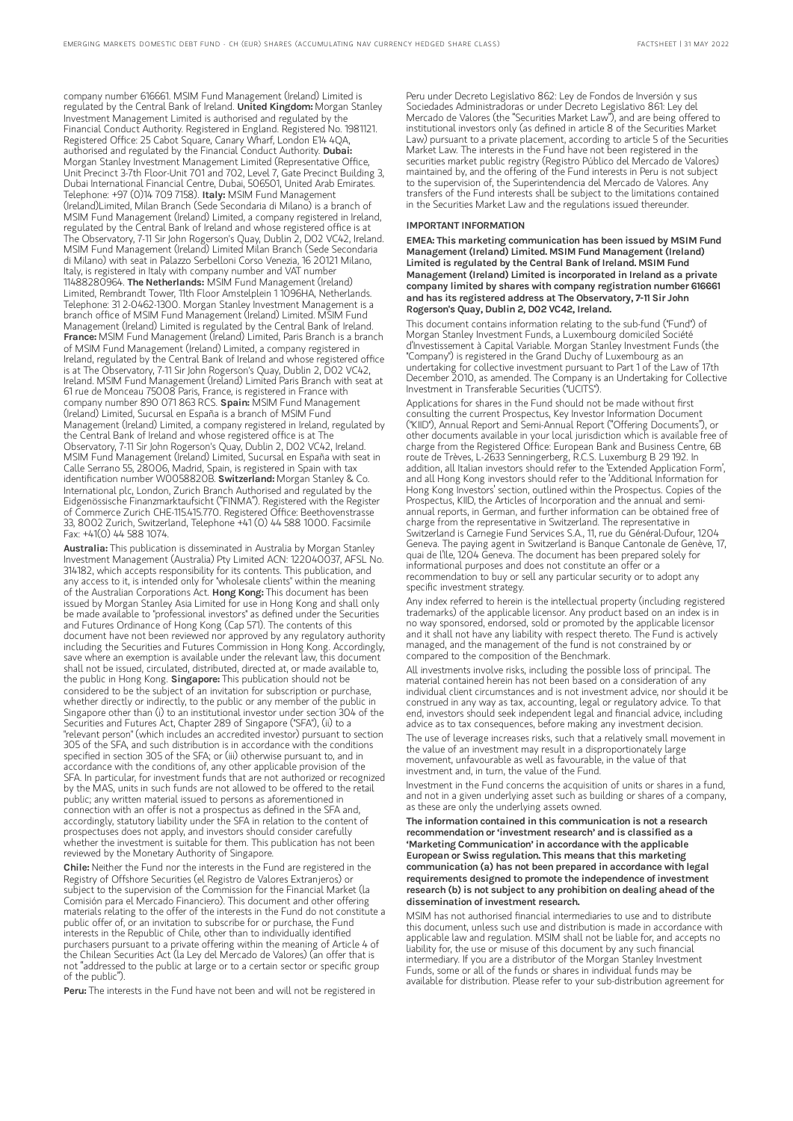company number 616661. MSIM Fund Management (Ireland) Limited is regulated by the Central Bank of Ireland. United Kingdom: Morgan Stanley Investment Management Limited is authorised and regulated by the Financial Conduct Authority. Registered in England. Registered No. 1981121. Registered Office: 25 Cabot Square, Canary Wharf, London E14 4QA, authorised and regulated by the Financial Conduct Authority. Dubai: Morgan Stanley Investment Management Limited (Representative Office, Unit Precinct 3-7th Floor-Unit 701 and 702, Level 7, Gate Precinct Building 3, Dubai International Financial Centre, Dubai, 506501, United Arab Emirates. Telephone: +97 (0)14 709 7158). **Italy:** MSIM Fund Management (Ireland)Limited, Milan Branch (Sede Secondaria di Milano) is a branch of MSIM Fund Management (Ireland) Limited, a company registered in Ireland, regulated by the Central Bank of Ireland and whose registered office is at The Observatory, 7-11 Sir John Rogerson's Quay, Dublin 2, D02 VC42, Ireland. MSIM Fund Management (Ireland) Limited Milan Branch (Sede Secondaria di Milano) with seat in Palazzo Serbelloni Corso Venezia, 16 20121 Milano, Italy, is registered in Italy with company number and VAT number 11488280964. The Netherlands: MSIM Fund Management (Ireland) Limited, Rembrandt Tower, 11th Floor Amstelplein 1 1096HA, Netherlands. Telephone: 31 2-0462-1300. Morgan Stanley Investment Management is a branch office of MSIM Fund Management (Ireland) Limited. MSIM Fund Management (Ireland) Limited is regulated by the Central Bank of Ireland. France: MSIM Fund Management (Ireland) Limited, Paris Branch is a branch of MSIM Fund Management (Ireland) Limited, a company registered in Ireland, regulated by the Central Bank of Ireland and whose registered office is at The Observatory, 7-11 Sir John Rogerson's Quay, Dublin 2, D02 VC42, Ireland. MSIM Fund Management (Ireland) Limited Paris Branch with seat at 61 rue de Monceau 75008 Paris, France, is registered in France with company number 890 071 863 RCS. Spain: MSIM Fund Management (Ireland) Limited, Sucursal en España is a branch of MSIM Fund Management (Ireland) Limited, a company registered in Ireland, regulated by the Central Bank of Ireland and whose registered office is at The Observatory, 7-11 Sir John Rogerson's Quay, Dublin 2, D02 VC42, Ireland. MSIM Fund Management (Ireland) Limited, Sucursal en España with seat in Calle Serrano 55, 28006, Madrid, Spain, is registered in Spain with tax identification number W0058820B. Switzerland: Morgan Stanley & Co. International plc, London, Zurich Branch Authorised and regulated by the Eidgenössische Finanzmarktaufsicht ("FINMA"). Registered with the Register of Commerce Zurich CHE-115.415.770. Registered Office: Beethovenstrasse 33, 8002 Zurich, Switzerland, Telephone +41 (0) 44 588 1000. Facsimile Fax: +41(0) 44 588 1074.

Australia: This publication is disseminated in Australia by Morgan Stanley Investment Management (Australia) Pty Limited ACN: 122040037, AFSL No. 314182, which accepts responsibility for its contents. This publication, and any access to it, is intended only for "wholesale clients" within the meaning of the Australian Corporations Act. Hong Kong: This document has been issued by Morgan Stanley Asia Limited for use in Hong Kong and shall only be made available to "professional investors" as defined under the Securities and Futures Ordinance of Hong Kong (Cap 571). The contents of this document have not been reviewed nor approved by any regulatory authority including the Securities and Futures Commission in Hong Kong. Accordingly, save where an exemption is available under the relevant law, this document shall not be issued, circulated, distributed, directed at, or made available to, the public in Hong Kong. Singapore: This publication should not be considered to be the subject of an invitation for subscription or purchase, whether directly or indirectly, to the public or any member of the public Singapore other than (i) to an institutional investor under section 304 of the Securities and Futures Act, Chapter 289 of Singapore ("SFA"), (ii) to a "relevant person" (which includes an accredited investor) pursuant to section 305 of the SFA, and such distribution is in accordance with the conditions specified in section 305 of the SFA; or (iii) otherwise pursuant to, and in accordance with the conditions of, any other applicable provision of the SFA. In particular, for investment funds that are not authorized or recognized by the MAS, units in such funds are not allowed to be offered to the retail public; any written material issued to persons as aforementioned in connection with an offer is not a prospectus as defined in the SFA and, accordingly, statutory liability under the SFA in relation to the content of prospectuses does not apply, and investors should consider carefully whether the investment is suitable for them. This publication has not been reviewed by the Monetary Authority of Singapore.

Chile: Neither the Fund nor the interests in the Fund are registered in the Registry of Offshore Securities (el Registro de Valores Extranjeros) or subject to the supervision of the Commission for the Financial Market (la Comisión para el Mercado Financiero). This document and other offering materials relating to the offer of the interests in the Fund do not constitute a public offer of, or an invitation to subscribe for or purchase, the Fund interests in the Republic of Chile, other than to individually identified purchasers pursuant to a private offering within the meaning of Article 4 of the Chilean Securities Act (la Ley del Mercado de Valores) (an offer that is not "addressed to the public at large or to a certain sector or specific group of the public").

Peru: The interests in the Fund have not been and will not be registered in

Peru under Decreto Legislativo 862: Ley de Fondos de Inversión y sus Sociedades Administradoras or under Decreto Legislativo 861: Ley del Mercado de Valores (the "Securities Market Law"), and are being offered to institutional investors only (as defined in article 8 of the Securities Market Law) pursuant to a private placement, according to article 5 of the Securities Market Law. The interests in the Fund have not been registered in the securities market public registry (Registro Público del Mercado de Valores) maintained by, and the offering of the Fund interests in Peru is not subject to the supervision of, the Superintendencia del Mercado de Valores. Any transfers of the Fund interests shall be subject to the limitations contained in the Securities Market Law and the regulations issued thereunder.

### IMPORTANT INFORMATION

EMEA: This marketing communication has been issued by MSIM Fund Management (Ireland) Limited. MSIM Fund Management (Ireland) Limited is regulated by the Central Bank of Ireland. MSIM Fund Management (Ireland) Limited is incorporated in Ireland as a private company limited by shares with company registration number 616661 and has its registered address at The Observatory, 7-11 Sir John Rogerson's Quay, Dublin 2, D02 VC42, Ireland.

This document contains information relating to the sub-fund ("Fund") of Morgan Stanley Investment Funds, a Luxembourg domiciled Société d'Investissement à Capital Variable. Morgan Stanley Investment Funds (the "Company") is registered in the Grand Duchy of Luxembourg as an undertaking for collective investment pursuant to Part 1 of the Law of 17th December 2010, as amended. The Company is an Undertaking for Collective Investment in Transferable Securities ("UCITS").

Applications for shares in the Fund should not be made without first consulting the current Prospectus, Key Investor Information Document ("KIID"), Annual Report and Semi-Annual Report ("Offering Documents"), or other documents available in your local jurisdiction which is available free of charge from the Registered Office: European Bank and Business Centre, 6B route de Trèves, L-2633 Senningerberg, R.C.S. Luxemburg B 29 192. In addition, all Italian investors should refer to the 'Extended Application Form', and all Hong Kong investors should refer to the 'Additional Information for Hong Kong Investors' section, outlined within the Prospectus. Copies of the Prospectus, KIID, the Articles of Incorporation and the annual and semiannual reports, in German, and further information can be obtained free of charge from the representative in Switzerland. The representative in Switzerland is Carnegie Fund Services S.A., 11, rue du Général-Dufour, 1204 Geneva. The paying agent in Switzerland is Banque Cantonale de Genève, 17, quai de l'Ile, 1204 Geneva. The document has been prepared solely for informational purposes and does not constitute an offer or a recommendation to buy or sell any particular security or to adopt any specific investment strategy.

Any index referred to herein is the intellectual property (including registered trademarks) of the applicable licensor. Any product based on an index is in no way sponsored, endorsed, sold or promoted by the applicable licensor and it shall not have any liability with respect thereto. The Fund is actively managed, and the management of the fund is not constrained by or compared to the composition of the Benchmark.

All investments involve risks, including the possible loss of principal. The material contained herein has not been based on a consideration of any individual client circumstances and is not investment advice, nor should it be construed in any way as tax, accounting, legal or regulatory advice. To that end, investors should seek independent legal and financial advice, including advice as to tax consequences, before making any investment decision.

The use of leverage increases risks, such that a relatively small movement in the value of an investment may result in a disproportionately large movement, unfavourable as well as favourable, in the value of that investment and, in turn, the value of the Fund.

Investment in the Fund concerns the acquisition of units or shares in a fund, and not in a given underlying asset such as building or shares of a company, as these are only the underlying assets owned

The information contained in this communication is not a research recommendation or 'investment research' and is classified as a 'Marketing Communication' in accordance with the applicable European or Swiss regulation. This means that this marketing communication (a) has not been prepared in accordance with legal requirements designed to promote the independence of investment research (b) is not subject to any prohibition on dealing ahead of the dissemination ofinvestment research.

MSIM has not authorised financial intermediaries to use and to distribute this document, unless such use and distribution is made in accordance with applicable law and regulation. MSIM shall not be liable for, and accepts no liability for, the use or misuse of this document by any such financial intermediary. If you are a distributor of the Morgan Stanley Investment Funds, some or all of the funds or shares in individual funds may be available for distribution. Please refer to your sub-distribution agreement for